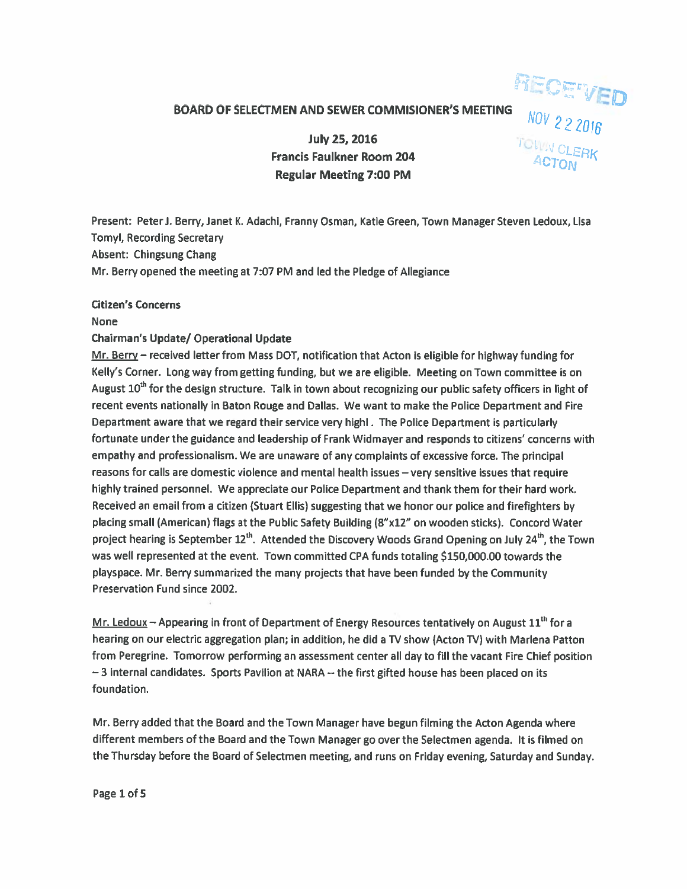## BOARD OF SELECTMEN AND SEWER COMMISIONER'S MEETING

**RECETVED** 

 $-$  .  $\sim$   $\sim$ 

July 25, 2016 Francis Faulkner Room 204 Regular Meeting 7:00 PM

Present: Peteri. Berry, Janet K. Adachi, Franny Osman, Katie Green, Town Manager Steven Ledoux, Lisa Tomyl, Recording Secretary Absent: Chingsung Chang Mr. Berry opened the meeting at 7:07 PM and led the Pledge of Allegiance

#### Citizen's Concerns

#### None

## Chairman's Update/ Operational Update

Mr. Berry — received letter from Mass DOT, notification that Acton is eligible for highway funding for Kelly's Corner. Long way from getting funding, but we are eligible. Meeting on Town committee is on August 10<sup>th</sup> for the design structure. Talk in town about recognizing our public safety officers in light of recent events nationally in Baton Rouge and Dallas. We want to make the Police Department and Fire Department aware that we regard their service very highl. The Police Department is particularly fortunate under the guidance and leadership of Frank Widmayer and responds to citizens' concerns with empathy and professionalism. We are unaware of any complaints of excessive force. The principal reasons for calls are domestic violence and mental health issues — very sensitive issues that require highly trained personnel. We appreciate our Police Department and thank them for their hard work. Received an email from <sup>a</sup> citizen (Stuart Ellis) suggesting that we honor our police and firefighters by placing small (American) flags at the Public Safety Building (8"x12" on wooden sticks). Concord Water project hearing is September 12<sup>th</sup>. Attended the Discovery Woods Grand Opening on July 24<sup>th</sup>, the Town was well represented at the event. Town committed CPA funds totaling \$150,000.00 towards the <sup>p</sup>layspace. Mr. Berry summarized the many projects that have been funded by the Community Preservation Fund since 2002.

Mr. Ledoux  $-$  Appearing in front of Department of Energy Resources tentatively on August  $11<sup>th</sup>$  for a hearing on our electric aggregation plan; in addition, he did <sup>a</sup> TV show (Acton TV) with Marlena Patton from Peregrine. Tomorrow performing an assessment center all day to fill the vacant Fire Chief position —3 internal candidates. Sports Pavilion at NARA --the first <sup>g</sup>ifted house has been <sup>p</sup>laced on its foundation.

Mr. Berry added that the Board and the Town Manager have begun filming the Acton Agenda where different members of the Board and the Town Manager go over the Selectmen agenda. It is filmed on the Thursday before the Board of Selectmen meeting, and runs on Friday evening, Saturday and Sunday.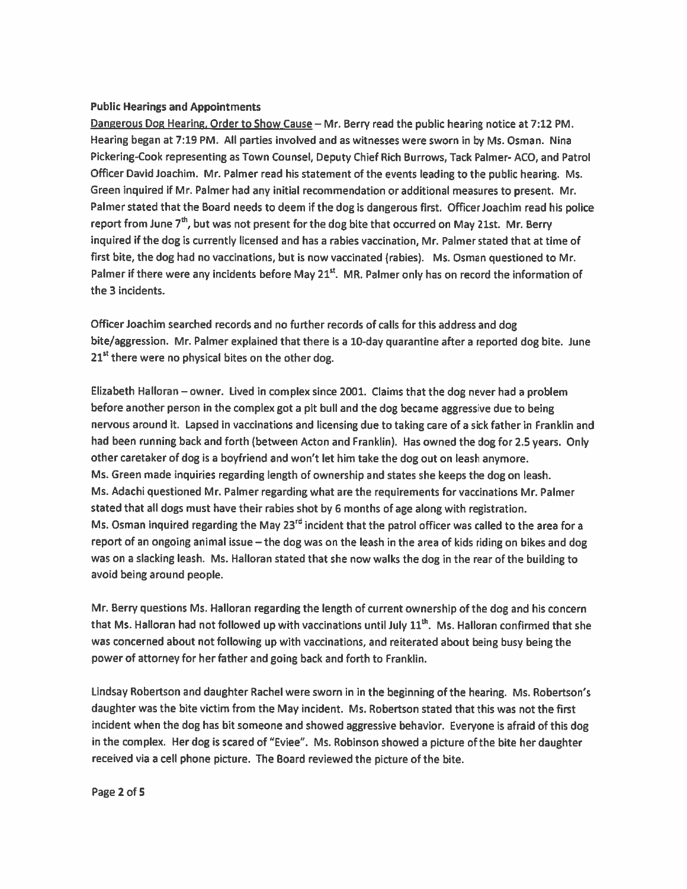### Public Hearings and Appointments

Dangerous Dog Hearing, Order to Show Cause — Mr. Berry read the public hearing notice at 7:12 PM. Hearing began at 7:19 PM. All parties involved and as witnesses were sworn in by Ms. Osman. Nina Pickering-Cook representing as Town Counsel, Deputy Chief Rich Burrows, Tack Palmer- ACO, and Patrol Officer David Joachim. Mr. Palmer read his statement of the events leading to the public hearing. Ms. Green inquired if Mr. Palmer had any initial recommendation or additional measures to present. Mr. Palmer stated that the Board needs to deem if the dog is dangerous first. Officer Joachim read his police report from June  $7<sup>th</sup>$ , but was not present for the dog bite that occurred on May 21st. Mr. Berry inquired if the dog is currently licensed and has <sup>a</sup> rabies vaccination, Mr. Palmer stated that at time of first bite, the dog had no vaccinations, but is now vaccinated (rabies). Ms. Osman questioned to Mr. Palmer if there were any incidents before May 21<sup>st</sup>. MR. Palmer only has on record the information of the 3 incidents.

Officer Joachim searched records and no further records of calls for this address and dog bite/aggression. Mr. Palmer explained that there is <sup>a</sup> 10-day quarantine after <sup>a</sup> reported dog bite. June  $21<sup>st</sup>$  there were no physical bites on the other dog.

Elizabeth Halloran — owner. Lived in complex since 2001. Claims that the dog never had <sup>a</sup> problem before another person in the complex go<sup>t</sup> <sup>a</sup> <sup>p</sup>it bull and the dog became aggressive due to being nervous around it. Lapsed in vaccinations and licensing due to taking care of <sup>a</sup> sick father in Franklin and had been running back and forth (between Acton and Franklin). Has owned the dog for 2.5 years. Only other caretaker of dog is <sup>a</sup> boyfriend and won't let him take the dog out on leash anymore. Ms. Green made inquiries regarding length of ownership and states she keeps the dog on leash. Ms. Adachi questioned Mr. Palmer regarding what are the requirements for vaccinations Mr. Palmer stated that all dogs must have their rabies shot by <sup>6</sup> months of age along with registration. Ms. Osman inquired regarding the May 23<sup>rd</sup> incident that the patrol officer was called to the area for a repor<sup>t</sup> of an ongoing animal issue — the dog was on the leash in the area of kids riding on bikes and dog was on <sup>a</sup> slacking leash. Ms. Halloran stated that she now walks the dog in the rear of the building to avoid being around people.

Mr. Berry questions Ms. Halloran regarding the length of current ownership of the dog and his concern that Ms. Halloran had not followed up with vaccinations until July  $11<sup>th</sup>$ . Ms. Halloran confirmed that she was concerned about not following up with vaccinations, and reiterated about being busy being the power of attorney for her father and going back and forth to Franklin.

Lindsay Robertson and daughter Rachel were sworn in in the beginning of the hearing. Ms. Robertson's daughter was the bite victim from the May incident. Ms. Robertson stated that this was not the first incident when the dog has bit someone and showed aggressive behavior. Everyone is afraid of this dog in the complex. Her dog is scared of "Eviee". Ms. Robinson showed <sup>a</sup> <sup>p</sup>icture of the bite her daughter received via <sup>a</sup> cell phone picture. The Board reviewed the picture of the bite.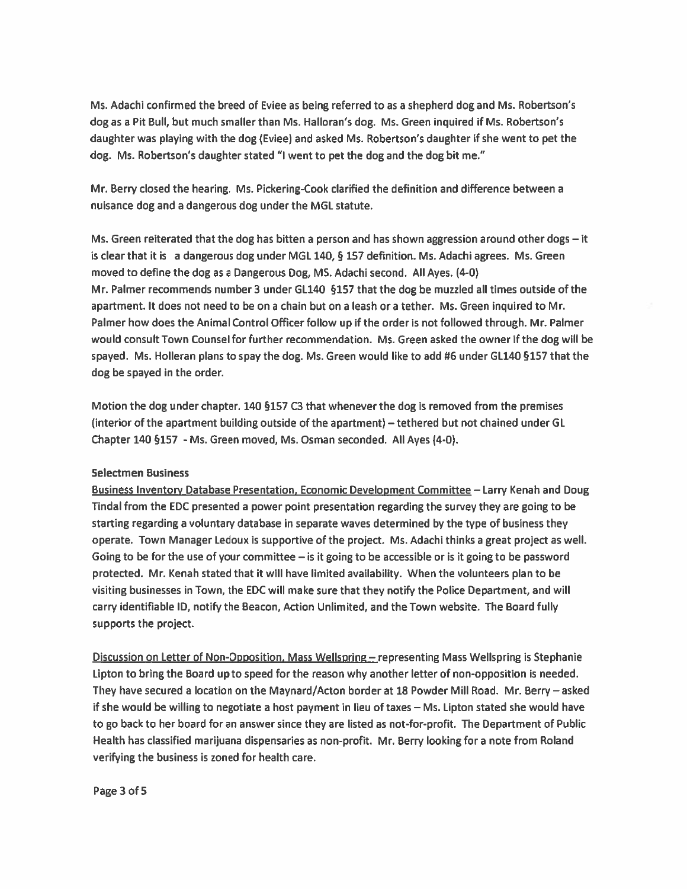Ms. Adachi confirmed the breed of Eviee as being referred to as <sup>a</sup> shepherd dog and Ms. Robertson's dog as a Pit Bull, but much smaller than Ms. Halloran's dog. Ms. Green inquired if Ms. Robertson's daughter was playing with the dog (Eviee) and asked Ms. Robertson's daughter if she went to pe<sup>t</sup> the dog. Ms. Robertson's daughter stated "1 went to pe<sup>t</sup> the dog and the dog bit me."

Mr. Berry closed the hearing. Ms. Pickering-Cook clarified the definition and difference between <sup>a</sup> nuisance dog and <sup>a</sup> dangerous dog under the MGL statute.

Ms. Green reiterated that the dog has bitten <sup>a</sup> person and has shown aggression around other dogs — it is clear that it is <sup>a</sup> dangerous dog under MGL 140, § 157 definition. Ms. Adachi agrees. Ms. Green moved to define the dog as <sup>a</sup> Dangerous Dog, MS. Adachi second. All Ayes. (4-0) Mr. Palmer recommends number 3 under GL14O §157 that the dog be muzzled all times outside of the apartment. It does not need to be on <sup>a</sup> chain but on <sup>a</sup> leash or <sup>a</sup> tether. Ms. Green inquired to Mr. Palmer how does the Animal Control Officer follow up if the order is not followed through. Mr. Palmer would consult Town Counsel for further recommendation. Ms. Green asked the owner if the dog will be spayed. Ms. Holleran plans to spay the dog. Ms. Green would like to add #6 under GL14O §157 that the dog be spayed in the order.

Motion the dog under chapter. 140 §157 C3 that whenever the dog is removed from the premises (interior of the apartment building outside of the apartment) —tethered but not chained under GL Chapter 140 §157 - Ms. Green moved, Ms. Osman seconded. All Ayes (4-0).

#### Selectmen Business

Business Inventory Database Presentation, Economic Development Committee — Larry Kenah and Doug Tindal from the EDC presented <sup>a</sup> power point presentation regarding the survey they are going to be starting regarding <sup>a</sup> voluntary database in separate waves determined by the type of business they operate. Town Manager Ledoux is supportive of the project. Ms. Adachi thinks <sup>a</sup> grea<sup>t</sup> project as well. Going to be for the use of your committee  $-$  is it going to be accessible or is it going to be password protected. Mr. Kenah stated that it will have limited availability. When the volunteers plan to be visiting businesses in Town, the EDC will make sure that they notify the Police Department, and will carry identifiable ID, notify the Beacon, Action Unlimited, and the Town website. The Board fully supports the project.

Discussion on Letter of Non-Opposition, Mass Wellspring — representing Mass Wellspring is Stephanie Lipton to bring the Board up to speed for the reason why another letter of non-opposition is needed. They have secured <sup>a</sup> location on the Maynard/Acton border at 18 Powder Mill Road. Mr. Berry— asked if she would be willing to negotiate <sup>a</sup> host paymen<sup>t</sup> in lieu of taxes — Ms. Lipton stated she would have to go back to her board for an answer since they are listed as not-for-profit. The Department of Public Health has classified marijuana dispensaries as non-profit. Mr. Berry looking for <sup>a</sup> note from Roland verifying the business is zoned for health care.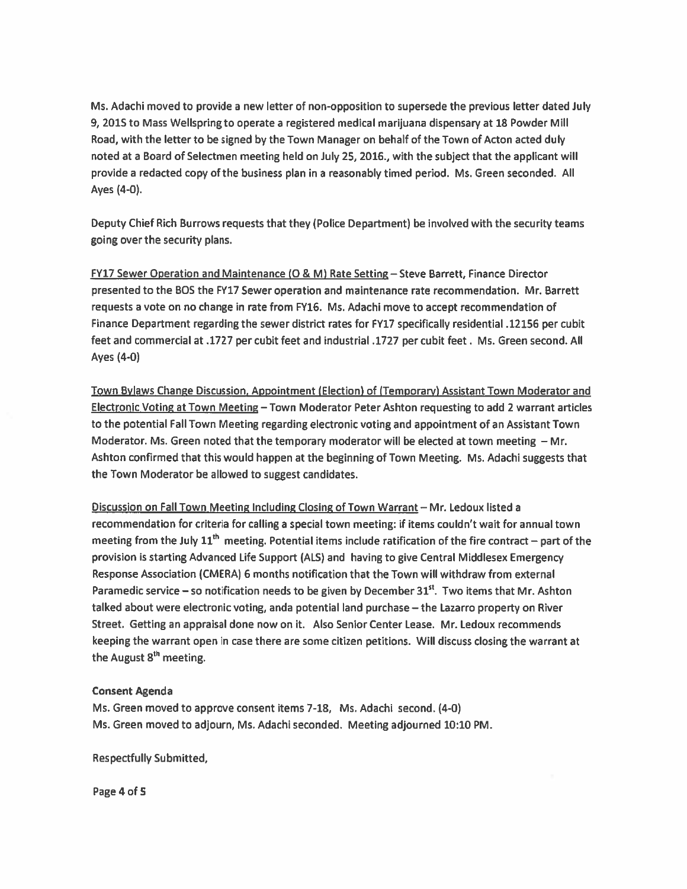Ms. Adachi moved to provide <sup>a</sup> new letter of non-opposition to supersede the previous letter dated July 9, 2015 to Mass Wellspring to operate <sup>a</sup> registered medical marijuana dispensary at 18 Powder Mill Road, with the letter to be signed by the Town Manager on behalf of the Town of Acton acted duly noted at <sup>a</sup> Board of Selectmen meeting held on July 25, 2016., with the subject that the applicant will provide <sup>a</sup> redacted copy of the business plan in <sup>a</sup> reasonably timed period. Ms. Green seconded. All Ayes (4-0).

Deputy Chief Rich Burrows requests that they (Police Department) be involved with the security teams going over the security plans.

FY17 Sewer Operation and Maintenance (0 & M) Rate Setting — Steve Barrett, Finance Director presented to the BOS the FY17 Sewer operation and maintenance rate recommendation. Mr. Barrett requests <sup>a</sup> vote on no change in rate from FY16. Ms. Adachi move to accep<sup>t</sup> recommendation of Finance Department regarding the sewer district rates for FY17 specifically residential .12156 per cubit feet and commercial at .1727 per cubit feet and industrial .1727 per cubit feet. Ms. Green second. All Ayes (4-0)

Town Bylaws Change Discussion, Appointment (Election) of (Temporary) Assistant Town Moderator and Electronic Voting at Town Meeting — Town Moderator Peter Ashton requesting to add <sup>2</sup> warrant articles to the potential Fall Town Meeting regarding electronic voting and appointment of an Assistant Town Moderator. Ms. Green noted that the temporary moderator will be elected at town meeting — Mr. Ashton confirmed that this would happen at the beginning of Town Meeting. Ms. Adachi suggests that the Town Moderator be allowed to sugges<sup>t</sup> candidates.

Discussion on Fall Town Meeting Including Closing of Town Warrant — Mr. Ledoux listed <sup>a</sup> recommendation for criteria for calling <sup>a</sup> special town meeting: if items couldn't wait for annual town meeting from the July  $11<sup>th</sup>$  meeting. Potential items include ratification of the fire contract – part of the provision is starting Advanced Life Support (ALS) and having to <sup>g</sup>ive Central Middlesex Emergency Response Association (CMERA) 6 months notification that the Town will withdraw from external Paramedic service – so notification needs to be given by December  $31<sup>st</sup>$ . Two items that Mr. Ashton talked about were electronic voting, anda potential land purchase — the Lazarro property on River Street. Getting an appraisal done now on it. Also Senior Center Lease. Mr. Ledoux recommends keeping the warrant open in case there are some citizen petitions. Will discuss closing the warrant at the August 8<sup>th</sup> meeting.

# Consent Agenda

Ms. Green moved to approve consent items 7-18, Ms. Adachi second. (4-D) Ms. Green moved to adjourn, Ms. Adachi seconded. Meeting adjourned 10:10 PM.

Respectfully Submitted,

Page 4 of S